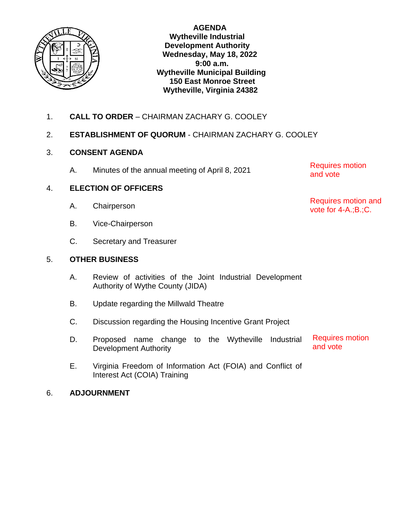

**AGENDA Wytheville Industrial Development Authority Wednesday, May 18, 2022 9:00 a.m. Wytheville Municipal Building 150 East Monroe Street Wytheville, Virginia 24382**

1. **CALL TO ORDER** – CHAIRMAN ZACHARY G. COOLEY

# 2. **ESTABLISHMENT OF QUORUM** - CHAIRMAN ZACHARY G. COOLEY

# 3. **CONSENT AGENDA**

A. Minutes of the annual meeting of April 8, 2021

4. **ELECTION OF OFFICERS**

- A. Chairperson
- B. Vice-Chairperson
- C. Secretary and Treasurer

## 5. **OTHER BUSINESS**

- A. Review of activities of the Joint Industrial Development Authority of Wythe County (JIDA)
- B. Update regarding the Millwald Theatre
- C. Discussion regarding the Housing Incentive Grant Project
- D. Proposed name change to the Wytheville Industrial Development Authority Requires motion and vote
- E. Virginia Freedom of Information Act (FOIA) and Conflict of Interest Act (COIA) Training

# 6. **ADJOURNMENT**

Requires motion and vote

Requires motion and vote for 4-A.;B.;C.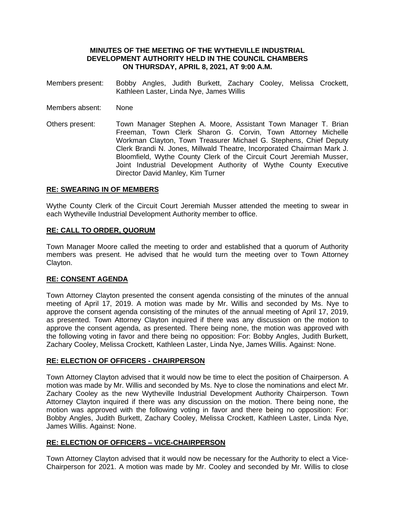#### **MINUTES OF THE MEETING OF THE WYTHEVILLE INDUSTRIAL DEVELOPMENT AUTHORITY HELD IN THE COUNCIL CHAMBERS ON THURSDAY, APRIL 8, 2021, AT 9:00 A.M.**

- Members present: Bobby Angles, Judith Burkett, Zachary Cooley, Melissa Crockett, Kathleen Laster, Linda Nye, James Willis
- Members absent: None
- Others present: Town Manager Stephen A. Moore, Assistant Town Manager T. Brian Freeman, Town Clerk Sharon G. Corvin, Town Attorney Michelle Workman Clayton, Town Treasurer Michael G. Stephens, Chief Deputy Clerk Brandi N. Jones, Millwald Theatre, Incorporated Chairman Mark J. Bloomfield, Wythe County Clerk of the Circuit Court Jeremiah Musser, Joint Industrial Development Authority of Wythe County Executive Director David Manley, Kim Turner

#### **RE: SWEARING IN OF MEMBERS**

Wythe County Clerk of the Circuit Court Jeremiah Musser attended the meeting to swear in each Wytheville Industrial Development Authority member to office.

#### **RE: CALL TO ORDER, QUORUM**

Town Manager Moore called the meeting to order and established that a quorum of Authority members was present. He advised that he would turn the meeting over to Town Attorney Clayton.

#### **RE: CONSENT AGENDA**

Town Attorney Clayton presented the consent agenda consisting of the minutes of the annual meeting of April 17, 2019. A motion was made by Mr. Willis and seconded by Ms. Nye to approve the consent agenda consisting of the minutes of the annual meeting of April 17, 2019, as presented. Town Attorney Clayton inquired if there was any discussion on the motion to approve the consent agenda, as presented. There being none, the motion was approved with the following voting in favor and there being no opposition: For: Bobby Angles, Judith Burkett, Zachary Cooley, Melissa Crockett, Kathleen Laster, Linda Nye, James Willis. Against: None.

#### **RE: ELECTION OF OFFICERS - CHAIRPERSON**

Town Attorney Clayton advised that it would now be time to elect the position of Chairperson. A motion was made by Mr. Willis and seconded by Ms. Nye to close the nominations and elect Mr. Zachary Cooley as the new Wytheville Industrial Development Authority Chairperson. Town Attorney Clayton inquired if there was any discussion on the motion. There being none, the motion was approved with the following voting in favor and there being no opposition: For: Bobby Angles, Judith Burkett, Zachary Cooley, Melissa Crockett, Kathleen Laster, Linda Nye, James Willis. Against: None.

#### **RE: ELECTION OF OFFICERS – VICE-CHAIRPERSON**

Town Attorney Clayton advised that it would now be necessary for the Authority to elect a Vice-Chairperson for 2021. A motion was made by Mr. Cooley and seconded by Mr. Willis to close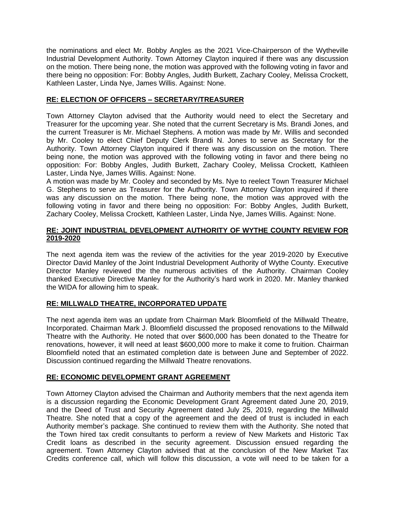the nominations and elect Mr. Bobby Angles as the 2021 Vice-Chairperson of the Wytheville Industrial Development Authority. Town Attorney Clayton inquired if there was any discussion on the motion. There being none, the motion was approved with the following voting in favor and there being no opposition: For: Bobby Angles, Judith Burkett, Zachary Cooley, Melissa Crockett, Kathleen Laster, Linda Nye, James Willis. Against: None.

## **RE: ELECTION OF OFFICERS – SECRETARY/TREASURER**

Town Attorney Clayton advised that the Authority would need to elect the Secretary and Treasurer for the upcoming year. She noted that the current Secretary is Ms. Brandi Jones, and the current Treasurer is Mr. Michael Stephens. A motion was made by Mr. Willis and seconded by Mr. Cooley to elect Chief Deputy Clerk Brandi N. Jones to serve as Secretary for the Authority. Town Attorney Clayton inquired if there was any discussion on the motion. There being none, the motion was approved with the following voting in favor and there being no opposition: For: Bobby Angles, Judith Burkett, Zachary Cooley, Melissa Crockett, Kathleen Laster, Linda Nye, James Willis. Against: None.

A motion was made by Mr. Cooley and seconded by Ms. Nye to reelect Town Treasurer Michael G. Stephens to serve as Treasurer for the Authority. Town Attorney Clayton inquired if there was any discussion on the motion. There being none, the motion was approved with the following voting in favor and there being no opposition: For: Bobby Angles, Judith Burkett, Zachary Cooley, Melissa Crockett, Kathleen Laster, Linda Nye, James Willis. Against: None.

### **RE: JOINT INDUSTRIAL DEVELOPMENT AUTHORITY OF WYTHE COUNTY REVIEW FOR 2019-2020**

The next agenda item was the review of the activities for the year 2019-2020 by Executive Director David Manley of the Joint Industrial Development Authority of Wythe County. Executive Director Manley reviewed the the numerous activities of the Authority. Chairman Cooley thanked Executive Directive Manley for the Authority's hard work in 2020. Mr. Manley thanked the WIDA for allowing him to speak.

### **RE: MILLWALD THEATRE, INCORPORATED UPDATE**

The next agenda item was an update from Chairman Mark Bloomfield of the Millwald Theatre, Incorporated. Chairman Mark J. Bloomfield discussed the proposed renovations to the Millwald Theatre with the Authority. He noted that over \$600,000 has been donated to the Theatre for renovations, however, it will need at least \$600,000 more to make it come to fruition. Chairman Bloomfield noted that an estimated completion date is between June and September of 2022. Discussion continued regarding the Millwald Theatre renovations.

## **RE: ECONOMIC DEVELOPMENT GRANT AGREEMENT**

Town Attorney Clayton advised the Chairman and Authority members that the next agenda item is a discussion regarding the Economic Development Grant Agreement dated June 20, 2019, and the Deed of Trust and Security Agreement dated July 25, 2019, regarding the Millwald Theatre. She noted that a copy of the agreement and the deed of trust is included in each Authority member's package. She continued to review them with the Authority. She noted that the Town hired tax credit consultants to perform a review of New Markets and Historic Tax Credit loans as described in the security agreement. Discussion ensued regarding the agreement. Town Attorney Clayton advised that at the conclusion of the New Market Tax Credits conference call, which will follow this discussion, a vote will need to be taken for a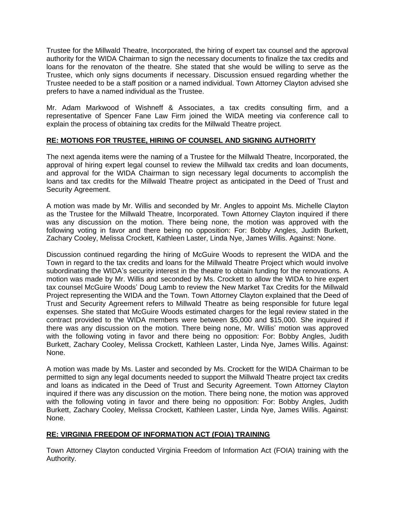Trustee for the Millwald Theatre, Incorporated, the hiring of expert tax counsel and the approval authority for the WIDA Chairman to sign the necessary documents to finalize the tax credits and loans for the renovaton of the theatre. She stated that she would be willing to serve as the Trustee, which only signs documents if necessary. Discussion ensued regarding whether the Trustee needed to be a staff position or a named individual. Town Attorney Clayton advised she prefers to have a named individual as the Trustee.

Mr. Adam Markwood of Wishneff & Associates, a tax credits consulting firm, and a representative of Spencer Fane Law Firm joined the WIDA meeting via conference call to explain the process of obtaining tax credits for the Millwald Theatre project.

## **RE: MOTIONS FOR TRUSTEE, HIRING OF COUNSEL AND SIGNING AUTHORITY**

The next agenda items were the naming of a Trustee for the Millwald Theatre, Incorporated, the approval of hiring expert legal counsel to review the Millwald tax credits and loan documents, and approval for the WIDA Chairman to sign necessary legal documents to accomplish the loans and tax credits for the Millwald Theatre project as anticipated in the Deed of Trust and Security Agreement.

A motion was made by Mr. Willis and seconded by Mr. Angles to appoint Ms. Michelle Clayton as the Trustee for the Millwald Theatre, Incorporated. Town Attorney Clayton inquired if there was any discussion on the motion. There being none, the motion was approved with the following voting in favor and there being no opposition: For: Bobby Angles, Judith Burkett, Zachary Cooley, Melissa Crockett, Kathleen Laster, Linda Nye, James Willis. Against: None.

Discussion continued regarding the hiring of McGuire Woods to represent the WIDA and the Town in regard to the tax credits and loans for the Millwald Theatre Project which would involve subordinating the WIDA's security interest in the theatre to obtain funding for the renovations. A motion was made by Mr. Willis and seconded by Ms. Crockett to allow the WIDA to hire expert tax counsel McGuire Woods' Doug Lamb to review the New Market Tax Credits for the Millwald Project representing the WIDA and the Town. Town Attorney Clayton explained that the Deed of Trust and Security Agreement refers to Millwald Theatre as being responsible for future legal expenses. She stated that McGuire Woods estimated charges for the legal review stated in the contract provided to the WIDA members were between \$5,000 and \$15,000. She inquired if there was any discussion on the motion. There being none, Mr. Willis' motion was approved with the following voting in favor and there being no opposition: For: Bobby Angles, Judith Burkett, Zachary Cooley, Melissa Crockett, Kathleen Laster, Linda Nye, James Willis. Against: None.

A motion was made by Ms. Laster and seconded by Ms. Crockett for the WIDA Chairman to be permitted to sign any legal documents needed to support the Millwald Theatre project tax credits and loans as indicated in the Deed of Trust and Security Agreement. Town Attorney Clayton inquired if there was any discussion on the motion. There being none, the motion was approved with the following voting in favor and there being no opposition: For: Bobby Angles, Judith Burkett, Zachary Cooley, Melissa Crockett, Kathleen Laster, Linda Nye, James Willis. Against: None.

### **RE: VIRGINIA FREEDOM OF INFORMATION ACT (FOIA) TRAINING**

Town Attorney Clayton conducted Virginia Freedom of Information Act (FOIA) training with the Authority.